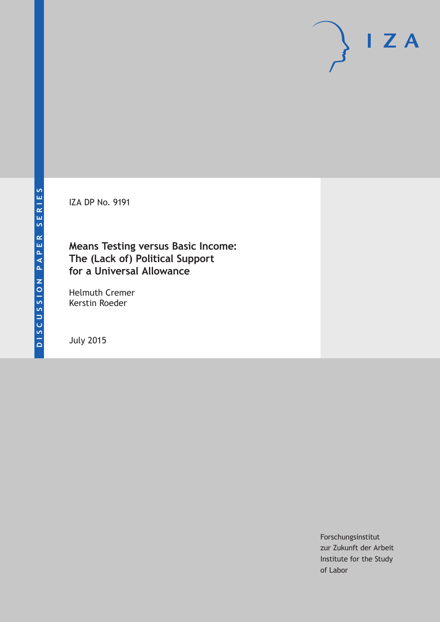IZA DP No. 9191

### **Means Testing versus Basic Income: The (Lack of) Political Support for a Universal Allowance**

Helmuth Cremer Kerstin Roeder

July 2015

Forschungsinstitut zur Zukunft der Arbeit Institute for the Study of Labor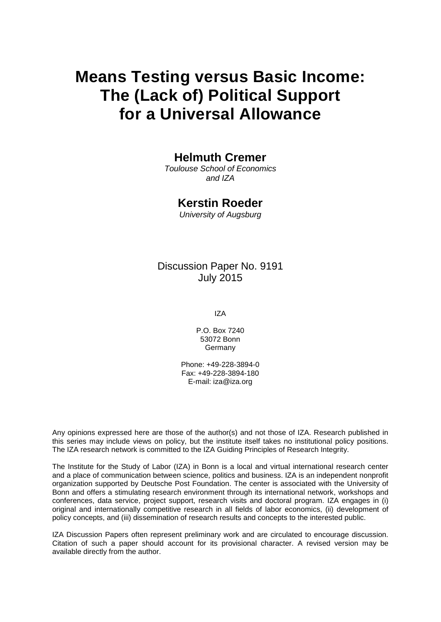# **Means Testing versus Basic Income: The (Lack of) Political Support for a Universal Allowance**

### **Helmuth Cremer**

*Toulouse School of Economics and IZA*

### **Kerstin Roeder**

*University of Augsburg*

### Discussion Paper No. 9191 July 2015

IZA

P.O. Box 7240 53072 Bonn Germany

Phone: +49-228-3894-0 Fax: +49-228-3894-180 E-mail: iza@iza.org

Any opinions expressed here are those of the author(s) and not those of IZA. Research published in this series may include views on policy, but the institute itself takes no institutional policy positions. The IZA research network is committed to the IZA Guiding Principles of Research Integrity.

The Institute for the Study of Labor (IZA) in Bonn is a local and virtual international research center and a place of communication between science, politics and business. IZA is an independent nonprofit organization supported by Deutsche Post Foundation. The center is associated with the University of Bonn and offers a stimulating research environment through its international network, workshops and conferences, data service, project support, research visits and doctoral program. IZA engages in (i) original and internationally competitive research in all fields of labor economics, (ii) development of policy concepts, and (iii) dissemination of research results and concepts to the interested public.

<span id="page-1-0"></span>IZA Discussion Papers often represent preliminary work and are circulated to encourage discussion. Citation of such a paper should account for its provisional character. A revised version may be available directly from the author.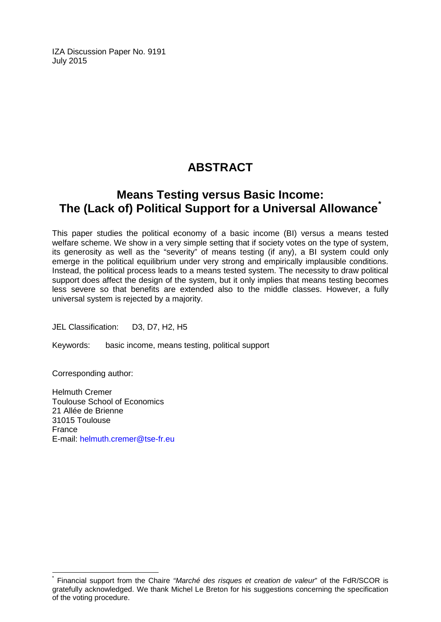IZA Discussion Paper No. 9191 July 2015

# **ABSTRACT**

## **Means Testing versus Basic Income: The (Lack of) Political Support for a Universal Allowance[\\*](#page-1-0)**

This paper studies the political economy of a basic income (BI) versus a means tested welfare scheme. We show in a very simple setting that if society votes on the type of system, its generosity as well as the "severity" of means testing (if any), a BI system could only emerge in the political equilibrium under very strong and empirically implausible conditions. Instead, the political process leads to a means tested system. The necessity to draw political support does affect the design of the system, but it only implies that means testing becomes less severe so that benefits are extended also to the middle classes. However, a fully universal system is rejected by a majority.

JEL Classification: D3, D7, H2, H5

Keywords: basic income, means testing, political support

Corresponding author:

Helmuth Cremer Toulouse School of Economics 21 Allée de Brienne 31015 Toulouse France E-mail: [helmuth.cremer@tse-fr.eu](mailto:helmuth.cremer@tse-fr.eu)

\* Financial support from the Chaire *"Marché des risques et creation de valeur*" of the FdR/SCOR is gratefully acknowledged. We thank Michel Le Breton for his suggestions concerning the specification of the voting procedure.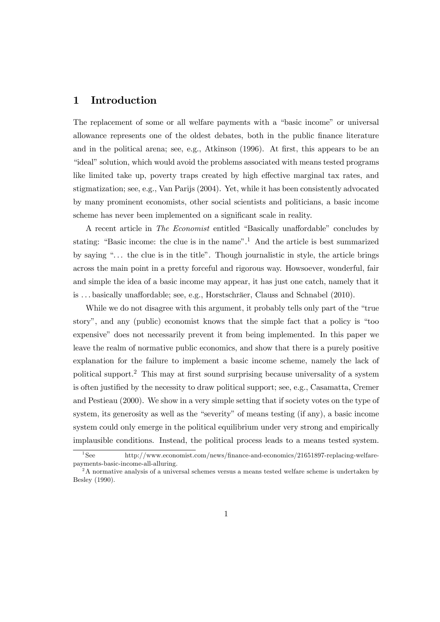### 1 Introduction

The replacement of some or all welfare payments with a "basic income" or universal allowance represents one of the oldest debates, both in the public finance literature and in the political arena; see, e.g., Atkinson (1996). At first, this appears to be an "ideal" solution, which would avoid the problems associated with means tested programs like limited take up, poverty traps created by high effective marginal tax rates, and stigmatization; see, e.g., Van Parijs (2004). Yet, while it has been consistently advocated by many prominent economists, other social scientists and politicians, a basic income scheme has never been implemented on a significant scale in reality.

A recent article in The Economist entitled "Basically unaffordable" concludes by stating: "Basic income: the clue is in the name".1 And the article is best summarized by saying ". . . the clue is in the title". Though journalistic in style, the article brings across the main point in a pretty forceful and rigorous way. Howsoever, wonderful, fair and simple the idea of a basic income may appear, it has just one catch, namely that it is . . . basically unaffordable; see, e.g., Horstschräer, Clauss and Schnabel (2010).

While we do not disagree with this argument, it probably tells only part of the "true story", and any (public) economist knows that the simple fact that a policy is "too expensive" does not necessarily prevent it from being implemented. In this paper we leave the realm of normative public economics, and show that there is a purely positive explanation for the failure to implement a basic income scheme, namely the lack of political support.2 This may at first sound surprising because universality of a system is often justified by the necessity to draw political support; see, e.g., Casamatta, Cremer and Pestieau (2000). We show in a very simple setting that if society votes on the type of system, its generosity as well as the "severity" of means testing (if any), a basic income system could only emerge in the political equilibrium under very strong and empirically implausible conditions. Instead, the political process leads to a means tested system.

<sup>&</sup>lt;sup>1</sup>See http://www.economist.com/news/finance-and-economics/21651897-replacing-welfarepayments-basic-income-all-alluring.

 $2A$  normative analysis of a universal schemes versus a means tested welfare scheme is undertaken by Besley (1990).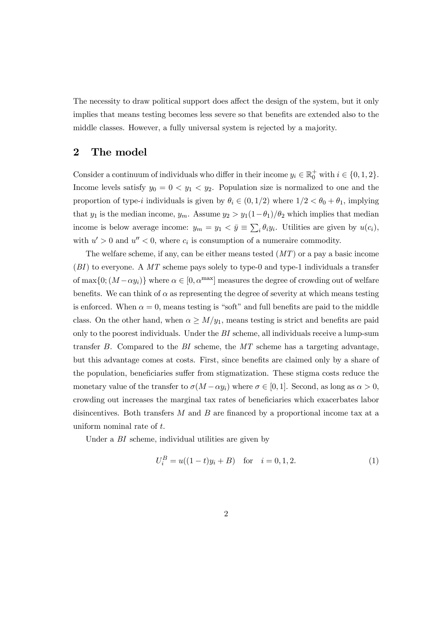The necessity to draw political support does affect the design of the system, but it only implies that means testing becomes less severe so that benefits are extended also to the middle classes. However, a fully universal system is rejected by a majority.

#### 2 The model

Consider a continuum of individuals who differ in their income  $y_i \in \mathbb{R}_0^+$  with  $i \in \{0, 1, 2\}$ . Income levels satisfy  $y_0 = 0 < y_1 < y_2$ . Population size is normalized to one and the proportion of type-*i* individuals is given by  $\theta_i \in (0, 1/2)$  where  $1/2 < \theta_0 + \theta_1$ , implying that  $y_1$  is the median income,  $y_m$ . Assume  $y_2 > y_1(1-\theta_1)/\theta_2$  which implies that median income is below average income:  $y_m = y_1 < \bar{y} \equiv \sum_i \theta_i y_i$ . Utilities are given by  $u(c_i)$ , with  $u' > 0$  and  $u'' < 0$ , where  $c_i$  is consumption of a numeraire commodity.

The welfare scheme, if any, can be either means tested  $(MT)$  or a pay a basic income  $(BI)$  to everyone. A MT scheme pays solely to type-0 and type-1 individuals a transfer of max $\{0; (M-\alpha y_i)\}\$  where  $\alpha \in [0, \alpha^{\text{max}}]$  measures the degree of crowding out of welfare benefits. We can think of  $\alpha$  as representing the degree of severity at which means testing is enforced. When  $\alpha = 0$ , means testing is "soft" and full benefits are paid to the middle class. On the other hand, when  $\alpha \geq M/y_1$ , means testing is strict and benefits are paid only to the poorest individuals. Under the  $BI$  scheme, all individuals receive a lump-sum transfer  $B$ . Compared to the  $BI$  scheme, the  $MT$  scheme has a targeting advantage, but this advantage comes at costs. First, since benefits are claimed only by a share of the population, beneficiaries suffer from stigmatization. These stigma costs reduce the monetary value of the transfer to  $\sigma(M-\alpha y_i)$  where  $\sigma \in [0,1]$ . Second, as long as  $\alpha > 0$ , crowding out increases the marginal tax rates of beneficiaries which exacerbates labor disincentives. Both transfers  $M$  and  $B$  are financed by a proportional income tax at a uniform nominal rate of  $t$ .

Under a BI scheme, individual utilities are given by

$$
U_i^B = u((1-t)y_i + B) \text{ for } i = 0, 1, 2.
$$
 (1)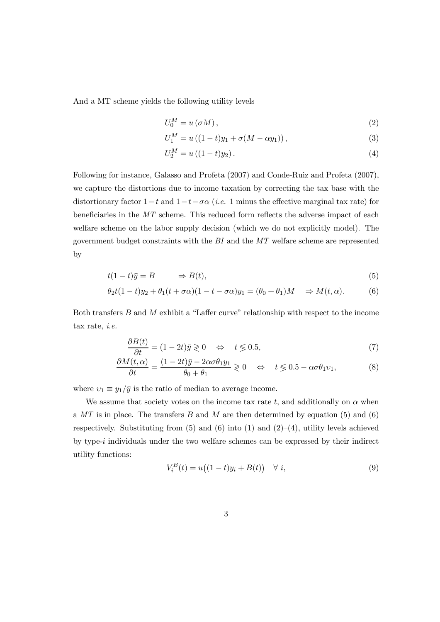And a MT scheme yields the following utility levels

$$
U_0^M = u(\sigma M),\tag{2}
$$

$$
U_1^M = u((1-t)y_1 + \sigma(M - \alpha y_1)), \qquad (3)
$$

$$
U_2^M = u((1-t)y_2).
$$
 (4)

Following for instance, Galasso and Profeta (2007) and Conde-Ruiz and Profeta (2007), we capture the distortions due to income taxation by correcting the tax base with the distortionary factor  $1-t$  and  $1-t-\sigma\alpha$  (*i.e.* 1 minus the effective marginal tax rate) for beneficiaries in the MT scheme. This reduced form reflects the adverse impact of each welfare scheme on the labor supply decision (which we do not explicitly model). The government budget constraints with the BI and the MT welfare scheme are represented by

$$
t(1-t)\bar{y} = B \qquad \Rightarrow B(t), \tag{5}
$$

$$
\theta_2 t (1-t) y_2 + \theta_1 (t + \sigma \alpha)(1 - t - \sigma \alpha) y_1 = (\theta_0 + \theta_1) M \implies M(t, \alpha).
$$
 (6)

Both transfers  $B$  and  $M$  exhibit a "Laffer curve" relationship with respect to the income tax rate, i.e.

$$
\frac{\partial B(t)}{\partial t} = (1 - 2t)\bar{y} \geq 0 \quad \Leftrightarrow \quad t \leq 0.5,\tag{7}
$$

$$
\frac{\partial M(t,\alpha)}{\partial t} = \frac{(1-2t)\bar{y} - 2\alpha\sigma\theta_1 y_1}{\theta_0 + \theta_1} \ge 0 \quad \Leftrightarrow \quad t \le 0.5 - \alpha\sigma\theta_1 v_1,\tag{8}
$$

where  $v_1 \equiv y_1/\bar{y}$  is the ratio of median to average income.

We assume that society votes on the income tax rate  $t$ , and additionally on  $\alpha$  when a  $MT$  is in place. The transfers B and M are then determined by equation (5) and (6) respectively. Substituting from  $(5)$  and  $(6)$  into  $(1)$  and  $(2)-(4)$ , utility levels achieved by type- $i$  individuals under the two welfare schemes can be expressed by their indirect utility functions:

$$
V_i^B(t) = u\big((1-t)y_i + B(t)\big) \quad \forall \ i,\tag{9}
$$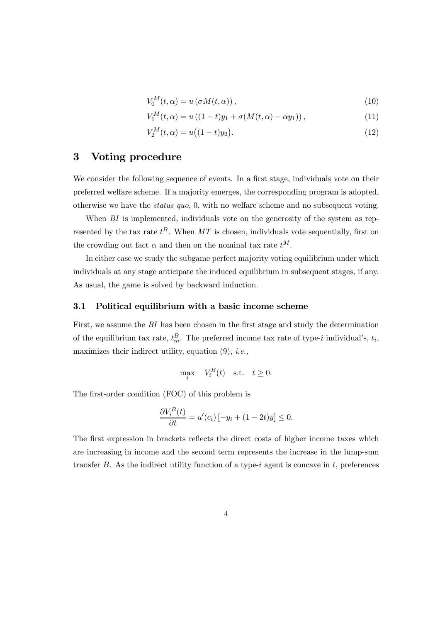$$
V_0^M(t, \alpha) = u(\sigma M(t, \alpha)), \qquad (10)
$$

$$
V_1^M(t, \alpha) = u((1 - t)y_1 + \sigma(M(t, \alpha) - \alpha y_1)), \qquad (11)
$$

$$
V_2^M(t, \alpha) = u((1 - t)y_2). \tag{12}
$$

#### 3 Voting procedure

We consider the following sequence of events. In a first stage, individuals vote on their preferred welfare scheme. If a majority emerges, the corresponding program is adopted, otherwise we have the status quo, 0, with no welfare scheme and no subsequent voting.

When BI is implemented, individuals vote on the generosity of the system as represented by the tax rate  $t^B$ . When MT is chosen, individuals vote sequentially, first on the crowding out fact  $\alpha$  and then on the nominal tax rate  $t^M$ .

In either case we study the subgame perfect majority voting equilibrium under which individuals at any stage anticipate the induced equilibrium in subsequent stages, if any. As usual, the game is solved by backward induction.

#### 3.1 Political equilibrium with a basic income scheme

First, we assume the BI has been chosen in the first stage and study the determination of the equilibrium tax rate,  $t_m^B$ . The preferred income tax rate of type-*i* individual's,  $t_i$ , maximizes their indirect utility, equation  $(9)$ , *i.e.*,

$$
\max_{t} V_i^B(t) \quad \text{s.t.} \quad t \ge 0.
$$

The first-order condition (FOC) of this problem is

$$
\frac{\partial V_i^B(t)}{\partial t} = u'(c_i) \left[ -y_i + (1 - 2t)\bar{y} \right] \le 0.
$$

The first expression in brackets reflects the direct costs of higher income taxes which are increasing in income and the second term represents the increase in the lump-sum transfer  $B$ . As the indirect utility function of a type-*i* agent is concave in  $t$ , preferences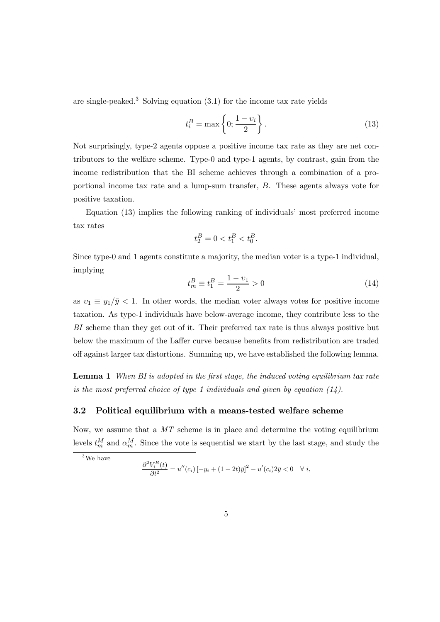are single-peaked.<sup>3</sup> Solving equation  $(3.1)$  for the income tax rate yields

$$
t_i^B = \max\left\{0; \frac{1 - v_i}{2}\right\}.
$$
\n(13)

Not surprisingly, type-2 agents oppose a positive income tax rate as they are net contributors to the welfare scheme. Type-0 and type-1 agents, by contrast, gain from the income redistribution that the BI scheme achieves through a combination of a proportional income tax rate and a lump-sum transfer,  $B$ . These agents always vote for positive taxation.

Equation (13) implies the following ranking of individuals' most preferred income tax rates

$$
t_2^B = 0 < t_1^B < t_0^B.
$$

Since type-0 and 1 agents constitute a majority, the median voter is a type-1 individual, implying

$$
t_m^B \equiv t_1^B = \frac{1 - v_1}{2} > 0 \tag{14}
$$

as  $v_1 \equiv y_1/\bar{y} < 1$ . In other words, the median voter always votes for positive income taxation. As type-1 individuals have below-average income, they contribute less to the BI scheme than they get out of it. Their preferred tax rate is thus always positive but below the maximum of the Laffer curve because benefits from redistribution are traded off against larger tax distortions. Summing up, we have established the following lemma.

**Lemma 1** When BI is adopted in the first stage, the induced voting equilibrium tax rate is the most preferred choice of type 1 individuals and given by equation  $(14)$ .

#### 3.2 Political equilibrium with a means-tested welfare scheme

Now, we assume that a  $MT$  scheme is in place and determine the voting equilibrium levels  $t_m^M$  and  $\alpha_m^M$ . Since the vote is sequential we start by the last stage, and study the

 $3$ We have

$$
\frac{\partial^2 V_i^B(t)}{\partial t^2} = u''(c_i) \left[ -y_i + (1 - 2t)\bar{y} \right]^2 - u'(c_i) 2\bar{y} < 0 \quad \forall \ i,
$$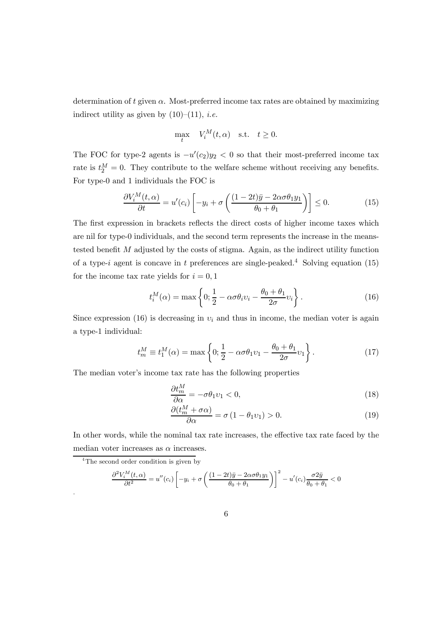determination of  $t$  given  $\alpha$ . Most-preferred income tax rates are obtained by maximizing indirect utility as given by  $(10)$ – $(11)$ , *i.e.* 

$$
\max_{t} V_i^M(t, \alpha) \quad \text{s.t.} \quad t \ge 0.
$$

The FOC for type-2 agents is  $-u'(c_2)y_2 < 0$  so that their most-preferred income tax rate is  $t_2^M = 0$ . They contribute to the welfare scheme without receiving any benefits. For type-0 and 1 individuals the FOC is

$$
\frac{\partial V_i^M(t,\alpha)}{\partial t} = u'(c_i) \left[ -y_i + \sigma \left( \frac{(1-2t)\bar{y} - 2\alpha\sigma\theta_1 y_1}{\theta_0 + \theta_1} \right) \right] \le 0. \tag{15}
$$

The first expression in brackets reflects the direct costs of higher income taxes which are nil for type-0 individuals, and the second term represents the increase in the meanstested benefit  $M$  adjusted by the costs of stigma. Again, as the indirect utility function of a type-*i* agent is concave in  $t$  preferences are single-peaked.<sup>4</sup> Solving equation (15) for the income tax rate yields for  $i = 0, 1$ 

$$
t_i^M(\alpha) = \max\left\{0; \frac{1}{2} - \alpha \sigma \theta_i v_i - \frac{\theta_0 + \theta_1}{2\sigma} v_i\right\}.
$$
 (16)

Since expression (16) is decreasing in  $v_i$  and thus in income, the median voter is again a type-1 individual:

$$
t_m^M \equiv t_1^M(\alpha) = \max\left\{0; \frac{1}{2} - \alpha \sigma \theta_1 v_1 - \frac{\theta_0 + \theta_1}{2\sigma} v_1\right\}.
$$
 (17)

The median voter's income tax rate has the following properties

$$
\frac{\partial t_m^M}{\partial \alpha} = -\sigma \theta_1 v_1 < 0,\tag{18}
$$

$$
\frac{\partial (t_m^M + \sigma \alpha)}{\partial \alpha} = \sigma (1 - \theta_1 v_1) > 0.
$$
 (19)

In other words, while the nominal tax rate increases, the effective tax rate faced by the median voter increases as  $\alpha$  increases.

<sup>4</sup>The second order condition is given by

.

$$
\frac{\partial^2 V_i^M(t,\alpha)}{\partial t^2} = u''(c_i) \left[ -y_i + \sigma \left( \frac{(1-2t)\overline{y} - 2\alpha\sigma\theta_1 y_1}{\theta_0 + \theta_1} \right) \right]^2 - u'(c_i) \frac{\sigma 2\overline{y}}{\theta_0 + \theta_1} < 0
$$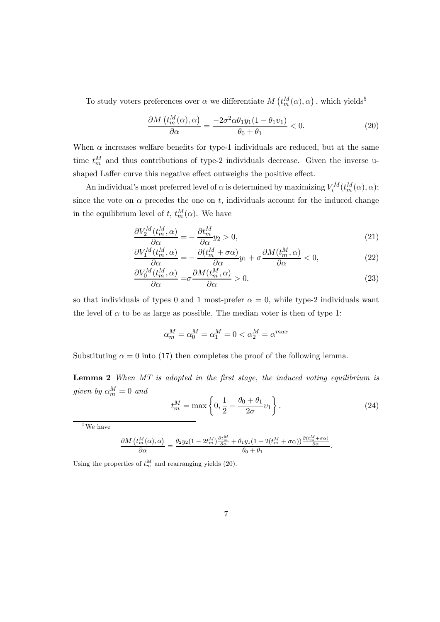To study voters preferences over  $\alpha$  we differentiate  $M\left(t_m^M(\alpha),\alpha\right)$ , which yields<sup>5</sup>

$$
\frac{\partial M\left(t_m^M(\alpha),\alpha\right)}{\partial \alpha} = \frac{-2\sigma^2 \alpha \theta_1 y_1 (1 - \theta_1 v_1)}{\theta_0 + \theta_1} < 0. \tag{20}
$$

When  $\alpha$  increases welfare benefits for type-1 individuals are reduced, but at the same time  $t_m^M$  and thus contributions of type-2 individuals decrease. Given the inverse ushaped Laffer curve this negative effect outweighs the positive effect.

An individual's most preferred level of  $\alpha$  is determined by maximizing  $V_i^M(t_m^M(\alpha), \alpha)$ ; since the vote on  $\alpha$  precedes the one on t, individuals account for the induced change in the equilibrium level of t,  $t_m^M(\alpha)$ . We have

$$
\frac{\partial V_2^M(t_m^M,\alpha)}{\partial \alpha} = -\frac{\partial t_m^M}{\partial \alpha} y_2 > 0,\tag{21}
$$

$$
\frac{\partial V_1^M(t_m^M,\alpha)}{\partial \alpha} = -\frac{\partial (t_m^M + \sigma \alpha)}{\partial \alpha} y_1 + \sigma \frac{\partial M(t_m^M,\alpha)}{\partial \alpha} < 0,\tag{22}
$$

$$
\frac{\partial V_0^M(t_m^M,\alpha)}{\partial \alpha} = \sigma \frac{\partial M(t_m^M,\alpha)}{\partial \alpha} > 0.
$$
\n(23)

so that individuals of types 0 and 1 most-prefer  $\alpha = 0$ , while type-2 individuals want the level of  $\alpha$  to be as large as possible. The median voter is then of type 1:

$$
\alpha_m^M = \alpha_0^M = \alpha_1^M = 0 < \alpha_2^M = \alpha^{max}
$$

Substituting  $\alpha = 0$  into (17) then completes the proof of the following lemma.

**Lemma 2** When  $MT$  is adopted in the first stage, the induced voting equilibrium is given by  $\alpha_m^M = 0$  and

$$
t_m^M = \max\left\{0, \frac{1}{2} - \frac{\theta_0 + \theta_1}{2\sigma} v_1\right\}.
$$
 (24)

 $\ddot{\phantom{0}}$ 

<sup>5</sup>We have

$$
\frac{\partial M\left(t_{m}^{M}(\alpha),\alpha\right)}{\partial\alpha}=\frac{\theta_{2}y_{2}(1-2t_{m}^{M})\frac{\partial t_{m}^{M}}{\partial\alpha}+\theta_{1}y_{1}(1-2(t_{m}^{M}+\sigma\alpha))\frac{\partial\left(t_{m}^{M}+\sigma\alpha\right)}{\partial\alpha}}{\theta_{0}+\theta_{1}}
$$

Using the properties of  $t_m^M$  and rearranging yields (20).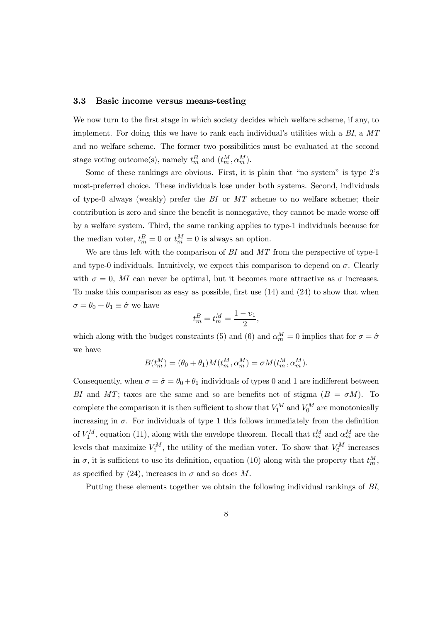#### 3.3 Basic income versus means-testing

We now turn to the first stage in which society decides which welfare scheme, if any, to implement. For doing this we have to rank each individual's utilities with a  $BI$ , a  $MT$ and no welfare scheme. The former two possibilities must be evaluated at the second stage voting outcome(s), namely  $t_m^B$  and  $(t_m^M, \alpha_m^M)$ .

Some of these rankings are obvious. First, it is plain that "no system" is type 2's most-preferred choice. These individuals lose under both systems. Second, individuals of type-0 always (weakly) prefer the  $BI$  or  $MT$  scheme to no welfare scheme; their contribution is zero and since the benefit is nonnegative, they cannot be made worse off by a welfare system. Third, the same ranking applies to type-1 individuals because for the median voter,  $t_m^B = 0$  or  $t_m^M = 0$  is always an option.

We are thus left with the comparison of  $BI$  and  $MT$  from the perspective of type-1 and type-0 individuals. Intuitively, we expect this comparison to depend on  $\sigma$ . Clearly with  $\sigma = 0$ , MI can never be optimal, but it becomes more attractive as  $\sigma$  increases. To make this comparison as easy as possible, first use (14) and (24) to show that when  $\sigma = \theta_0 + \theta_1 \equiv \hat{\sigma}$  we have

$$
t_m^B = t_m^M = \frac{1 - v_1}{2},
$$

which along with the budget constraints (5) and (6) and  $\alpha_m^M = 0$  implies that for  $\sigma = \hat{\sigma}$ we have

$$
B(t_m^M) = (\theta_0 + \theta_1)M(t_m^M, \alpha_m^M) = \sigma M(t_m^M, \alpha_m^M).
$$

Consequently, when  $\sigma = \hat{\sigma} = \theta_0 + \theta_1$  individuals of types 0 and 1 are indifferent between BI and MT; taxes are the same and so are benefits net of stigma  $(B = \sigma M)$ . To complete the comparison it is then sufficient to show that  $V_1^M$  and  $V_0^M$  are monotonically increasing in  $\sigma$ . For individuals of type 1 this follows immediately from the definition of  $V_1^M$ , equation (11), along with the envelope theorem. Recall that  $t_m^M$  and  $\alpha_m^M$  are the levels that maximize  $V_1^M$ , the utility of the median voter. To show that  $V_0^M$  increases in  $\sigma$ , it is sufficient to use its definition, equation (10) along with the property that  $t_m^M$ , as specified by (24), increases in  $\sigma$  and so does M.

Putting these elements together we obtain the following individual rankings of BI,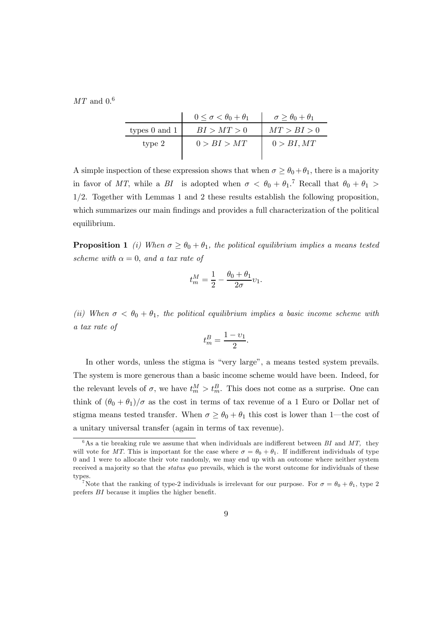$MT$  and  $0.6$ 

|                   | $0 \leq \sigma < \theta_0 + \theta_1$ | $\sigma \geq \theta_0 + \theta_1$ |
|-------------------|---------------------------------------|-----------------------------------|
| types $0$ and $1$ | BI > MT > 0                           | MT > BI > 0                       |
| type 2            | 0 > BI > MT                           | 0 > BI, MT                        |
|                   |                                       |                                   |

A simple inspection of these expression shows that when  $\sigma \geq \theta_0 + \theta_1$ , there is a majority in favor of MT, while a BI is adopted when  $\sigma < \theta_0 + \theta_1$ .<sup>7</sup> Recall that  $\theta_0 + \theta_1 >$ 12. Together with Lemmas 1 and 2 these results establish the following proposition, which summarizes our main findings and provides a full characterization of the political equilibrium.

**Proposition 1** (i) When  $\sigma \geq \theta_0 + \theta_1$ , the political equilibrium implies a means tested scheme with  $\alpha = 0$ , and a tax rate of

$$
t_m^M = \frac{1}{2} - \frac{\theta_0 + \theta_1}{2\sigma} v_1.
$$

(ii) When  $\sigma < \theta_0 + \theta_1$ , the political equilibrium implies a basic income scheme with a tax rate of

$$
t_m^B = \frac{1 - v_1}{2}.
$$

In other words, unless the stigma is "very large", a means tested system prevails. The system is more generous than a basic income scheme would have been. Indeed, for the relevant levels of  $\sigma$ , we have  $t_m^M > t_m^B$ . This does not come as a surprise. One can think of  $(\theta_0 + \theta_1)/\sigma$  as the cost in terms of tax revenue of a 1 Euro or Dollar net of stigma means tested transfer. When  $\sigma \geq \theta_0 + \theta_1$  this cost is lower than 1—the cost of a unitary universal transfer (again in terms of tax revenue).

 $6$ As a tie breaking rule we assume that when individuals are indifferent between BI and MT, they will vote for MT. This is important for the case where  $\sigma = \theta_0 + \theta_1$ . If indifferent individuals of type 0 and 1 were to allocate their vote randomly, we may end up with an outcome where neither system received a majority so that the *status quo* prevails, which is the worst outcome for individuals of these types.

<sup>&</sup>lt;sup>7</sup>Note that the ranking of type-2 individuals is irrelevant for our purpose. For  $\sigma = \theta_0 + \theta_1$ , type 2 prefers  $BI$  because it implies the higher benefit.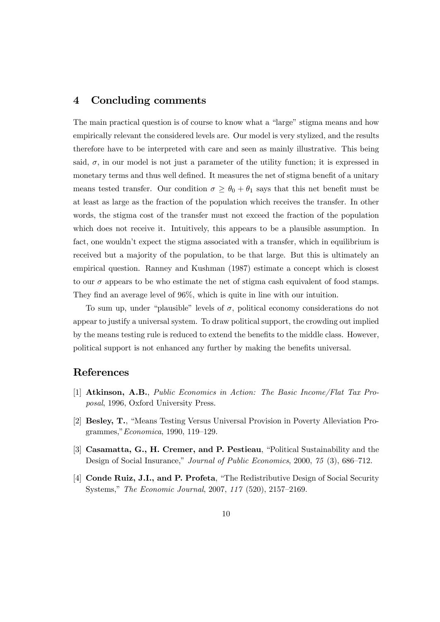### 4 Concluding comments

The main practical question is of course to know what a "large" stigma means and how empirically relevant the considered levels are. Our model is very stylized, and the results therefore have to be interpreted with care and seen as mainly illustrative. This being said,  $\sigma$ , in our model is not just a parameter of the utility function; it is expressed in monetary terms and thus well defined. It measures the net of stigma benefit of a unitary means tested transfer. Our condition  $\sigma \geq \theta_0 + \theta_1$  says that this net benefit must be at least as large as the fraction of the population which receives the transfer. In other words, the stigma cost of the transfer must not exceed the fraction of the population which does not receive it. Intuitively, this appears to be a plausible assumption. In fact, one wouldn't expect the stigma associated with a transfer, which in equilibrium is received but a majority of the population, to be that large. But this is ultimately an empirical question. Ranney and Kushman (1987) estimate a concept which is closest to our  $\sigma$  appears to be who estimate the net of stigma cash equivalent of food stamps. They find an average level of 96%, which is quite in line with our intuition.

To sum up, under "plausible" levels of  $\sigma$ , political economy considerations do not appear to justify a universal system. To draw political support, the crowding out implied by the means testing rule is reduced to extend the benefits to the middle class. However, political support is not enhanced any further by making the benefits universal.

#### References

- [1] Atkinson, A.B., Public Economics in Action: The Basic Income/Flat Tax Proposal, 1996, Oxford University Press.
- [2] Besley, T., "Means Testing Versus Universal Provision in Poverty Alleviation Programmes,"Economica, 1990, 119—129.
- [3] Casamatta, G., H. Cremer, and P. Pestieau, "Political Sustainability and the Design of Social Insurance," Journal of Public Economics, 2000, 75 (3), 686—712.
- [4] Conde Ruiz, J.I., and P. Profeta, "The Redistributive Design of Social Security Systems," The Economic Journal, 2007, 117 (520), 2157—2169.